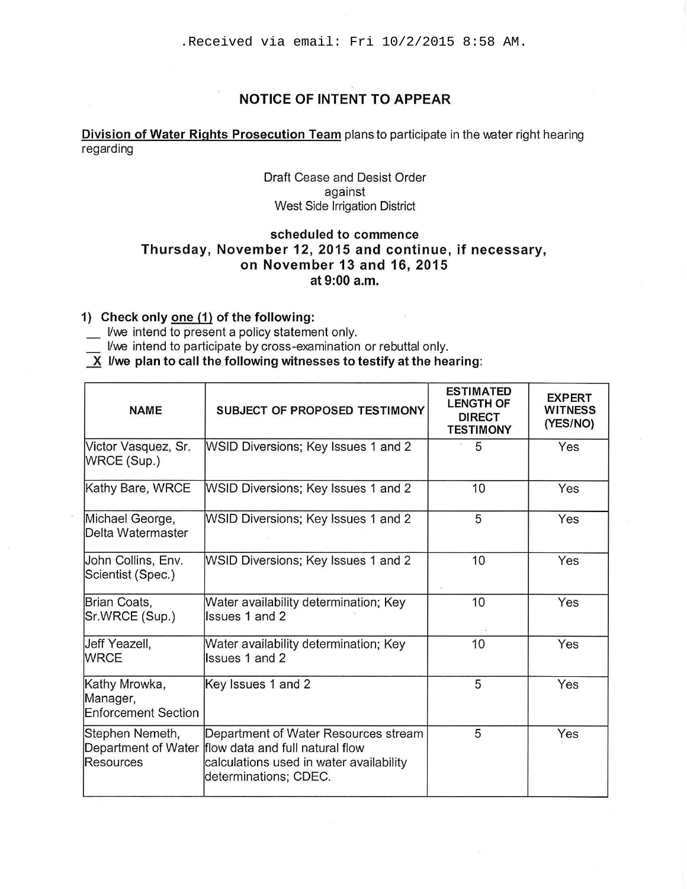# **NOTICE OF INTENT TO APPEAR**

## **Division of Water Rights Prosecution Team** plans to participate in the water right hearing regarding

## Draft Cease and Desist Order against West Side Irrigation District

## **scheduled to commence Thursday, November 12, 2015 and continue, if necessary, on November 13 and 16, 2015 at 9:00a.m.**

## **1) Check only one (1) of the following:**

\_ Vwe intend to present a policy statement only.

- I/we intend to participate by cross-examination or rebuttal only.
- $\overline{X}$  I/we plan to call the following witnesses to testify at the hearing:

| <b>NAME</b>                                             | <b>SUBJECT OF PROPOSED TESTIMONY</b>                                                                                                                            | <b>ESTIMATED</b><br><b>LENGTH OF</b><br><b>DIRECT</b><br><b>TESTIMONY</b> | <b>EXPERT</b><br><b>WITNESS</b><br>(YES/NO) |
|---------------------------------------------------------|-----------------------------------------------------------------------------------------------------------------------------------------------------------------|---------------------------------------------------------------------------|---------------------------------------------|
| Victor Vasquez, Sr.<br>WRCE (Sup.)                      | WSID Diversions; Key Issues 1 and 2                                                                                                                             | 5                                                                         | Yes                                         |
| Kathy Bare, WRCE                                        | WSID Diversions; Key Issues 1 and 2                                                                                                                             | 10                                                                        | Yes                                         |
| Michael George,<br>Delta Watermaster                    | WSID Diversions; Key Issues 1 and 2                                                                                                                             | 5                                                                         | Yes                                         |
| John Collins, Env.<br>Scientist (Spec.)                 | WSID Diversions; Key Issues 1 and 2                                                                                                                             | 10<br>談                                                                   | Yes                                         |
| Brian Coats,<br>Sr.WRCE (Sup.)                          | Water availability determination; Key<br>Issues 1 and 2                                                                                                         | 10                                                                        | Yes                                         |
| Jeff Yeazell,<br><b>WRCE</b>                            | Water availability determination; Key<br>Issues 1 and 2                                                                                                         | 10                                                                        | Yes                                         |
| Kathy Mrowka,<br>Manager,<br><b>Enforcement Section</b> | Key Issues 1 and 2                                                                                                                                              | 5                                                                         | Yes                                         |
| Stephen Nemeth,<br>Resources                            | Department of Water Resources stream<br>Department of Water flow data and full natural flow<br>calculations used in water availability<br>determinations; CDEC. | 5                                                                         | Yes                                         |